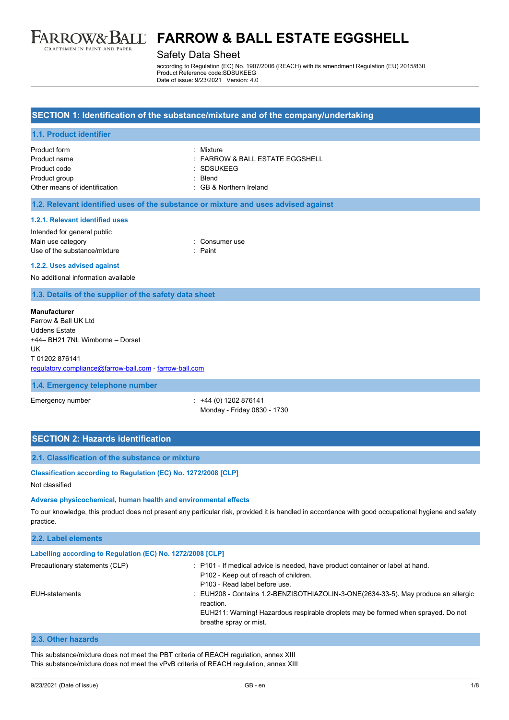

#### Safety Data Sheet

according to Regulation (EC) No. 1907/2006 (REACH) with its amendment Regulation (EU) 2015/830 Product Reference code:SDSUKEEG Date of issue: 9/23/2021 Version: 4.0

#### **SECTION 1: Identification of the substance/mixture and of the company/undertaking**

#### **1.1. Product identifier**

| Product form                  | · Mixture                           |
|-------------------------------|-------------------------------------|
| Product name                  | $\pm$ FARROW & BALL ESTATE EGGSHELL |
| Product code                  | : SDSUKEEG                          |
| Product group                 | · Blend                             |
| Other means of identification | : GB & Northern Ireland             |

#### **1.2. Relevant identified uses of the substance or mixture and uses advised against**

#### **1.2.1. Relevant identified uses**

| Intended for general public  |                |
|------------------------------|----------------|
| Main use category            | : Consumer use |
| Use of the substance/mixture | : Paint        |

#### **1.2.2. Uses advised against**

No additional information available

#### **1.3. Details of the supplier of the safety data sheet**

#### **Manufacturer**

Farrow & Ball UK Ltd Uddens Estate +44– BH21 7NL Wimborne – Dorset UK T 01202 876141 [regulatory.compliance@farrow-ball.com](mailto:regulatory.compliance@farrow-ball.com) - [farrow-ball.com](http://farrow-ball.com/)

#### **1.4. Emergency telephone number**

Emergency number : +44 (0) 1202 876141 Monday - Friday 0830 - 1730

## **SECTION 2: Hazards identification**

#### **2.1. Classification of the substance or mixture**

#### **Classification according to Regulation (EC) No. 1272/2008 [CLP]**

Not classified

### **Adverse physicochemical, human health and environmental effects**

To our knowledge, this product does not present any particular risk, provided it is handled in accordance with good occupational hygiene and safety practice.

| 2.2. Label elements                                        |                                                                                                                                                                                                                |
|------------------------------------------------------------|----------------------------------------------------------------------------------------------------------------------------------------------------------------------------------------------------------------|
| Labelling according to Regulation (EC) No. 1272/2008 [CLP] |                                                                                                                                                                                                                |
| Precautionary statements (CLP)                             | : P101 - If medical advice is needed, have product container or label at hand.<br>P102 - Keep out of reach of children.<br>P103 - Read label before use.                                                       |
| EUH-statements                                             | : EUH208 - Contains 1.2-BENZISOTHIAZOLIN-3-ONE(2634-33-5). May produce an allergic<br>reaction.<br>EUH211: Warning! Hazardous respirable droplets may be formed when sprayed. Do not<br>breathe spray or mist. |

#### **2.3. Other hazards**

This substance/mixture does not meet the PBT criteria of REACH regulation, annex XIII This substance/mixture does not meet the vPvB criteria of REACH regulation, annex XIII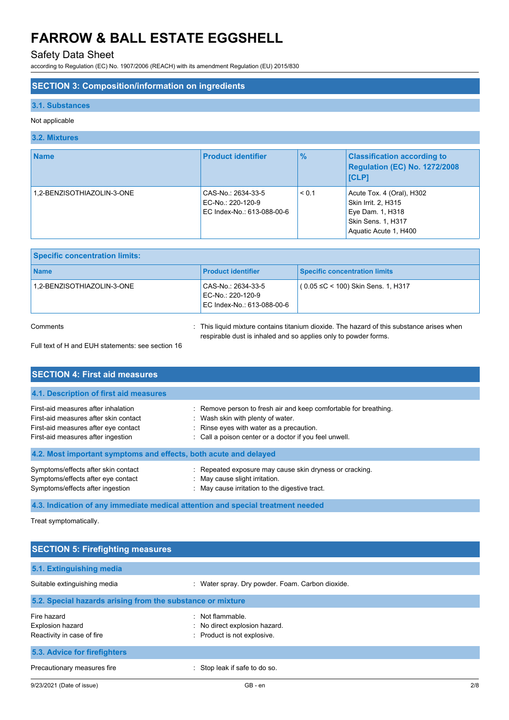## Safety Data Sheet

according to Regulation (EC) No. 1907/2006 (REACH) with its amendment Regulation (EU) 2015/830

## **SECTION 3: Composition/information on ingredients**

### **3.1. Substances**

### Not applicable

### **3.2. Mixtures**

| <b>Name</b>                | <b>Product identifier</b>                                             | $\frac{9}{6}$ | <b>Classification according to</b><br>Regulation (EC) No. 1272/2008<br><b>ICLP1</b>                                 |
|----------------------------|-----------------------------------------------------------------------|---------------|---------------------------------------------------------------------------------------------------------------------|
| 1.2-BENZISOTHIAZOLIN-3-ONE | CAS-No.: 2634-33-5<br>EC-No.: 220-120-9<br>EC Index-No.: 613-088-00-6 | < 0.1         | Acute Tox. 4 (Oral), H302<br>Skin Irrit. 2, H315<br>Eye Dam. 1, H318<br>Skin Sens. 1, H317<br>Aquatic Acute 1, H400 |

| <b>Specific concentration limits:</b> |                                                                       |                                          |
|---------------------------------------|-----------------------------------------------------------------------|------------------------------------------|
| <b>Name</b>                           | <b>Product identifier</b>                                             | <b>Specific concentration limits</b>     |
| 1.2-BENZISOTHIAZOLIN-3-ONE            | CAS-No.: 2634-33-5<br>EC-No.: 220-120-9<br>EC Index-No.: 613-088-00-6 | $(0.05 \leq C < 100)$ Skin Sens. 1, H317 |

Comments **in the liquid mixture contains titanium dioxide**. The hazard of this substance arises when respirable dust is inhaled and so applies only to powder forms.

Full text of H and EUH statements: see section 16

| <b>SECTION 4: First aid measures</b>                                                                                                                       |                                                                                                                                                                                                             |  |  |  |
|------------------------------------------------------------------------------------------------------------------------------------------------------------|-------------------------------------------------------------------------------------------------------------------------------------------------------------------------------------------------------------|--|--|--|
| 4.1. Description of first aid measures                                                                                                                     |                                                                                                                                                                                                             |  |  |  |
| First-aid measures after inhalation<br>First-aid measures after skin contact<br>First-aid measures after eye contact<br>First-aid measures after ingestion | : Remove person to fresh air and keep comfortable for breathing.<br>: Wash skin with plenty of water.<br>: Rinse eyes with water as a precaution.<br>: Call a poison center or a doctor if you feel unwell. |  |  |  |
| 4.2. Most important symptoms and effects, both acute and delayed                                                                                           |                                                                                                                                                                                                             |  |  |  |
| Symptoms/effects after skin contact<br>Symptoms/effects after eye contact<br>Symptoms/effects after ingestion                                              | : Repeated exposure may cause skin dryness or cracking.<br>May cause slight irritation.<br>: May cause irritation to the digestive tract.                                                                   |  |  |  |

## **4.3. Indication of any immediate medical attention and special treatment needed**

Treat symptomatically.

| <b>SECTION 5: Firefighting measures</b>                              |                                                                                  |  |  |
|----------------------------------------------------------------------|----------------------------------------------------------------------------------|--|--|
| 5.1. Extinguishing media                                             |                                                                                  |  |  |
| Suitable extinguishing media                                         | : Water spray. Dry powder. Foam. Carbon dioxide.                                 |  |  |
| 5.2. Special hazards arising from the substance or mixture           |                                                                                  |  |  |
| Fire hazard<br><b>Explosion hazard</b><br>Reactivity in case of fire | : Not flammable.<br>: No direct explosion hazard.<br>: Product is not explosive. |  |  |
| 5.3. Advice for firefighters                                         |                                                                                  |  |  |
| Precautionary measures fire                                          | : Stop leak if safe to do so.                                                    |  |  |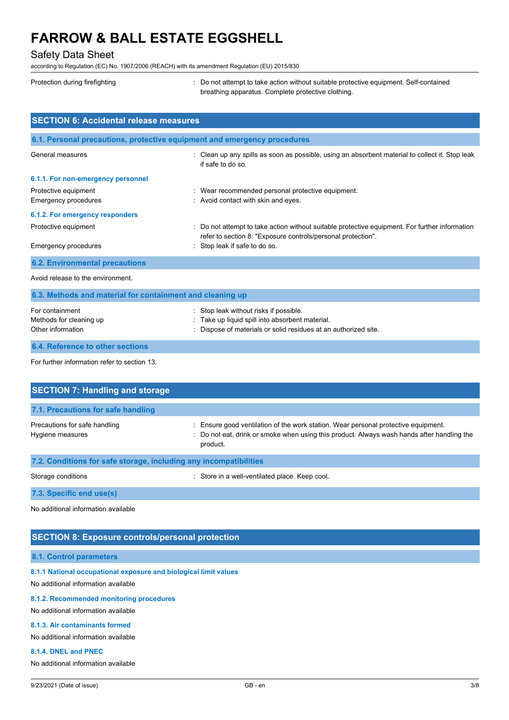### Safety Data Sheet

according to Regulation (EC) No. 1907/2006 (REACH) with its amendment Regulation (EU) 2015/830

| Protection during firefighting                                           | : Do not attempt to take action without suitable protective equipment. Self-contained<br>breathing apparatus. Complete protective clothing. |
|--------------------------------------------------------------------------|---------------------------------------------------------------------------------------------------------------------------------------------|
| <b>SECTION 6: Accidental release measures</b>                            |                                                                                                                                             |
| 6.1. Personal precautions, protective equipment and emergency procedures |                                                                                                                                             |

| General measures                   | : Clean up any spills as soon as possible, using an absorbent material to collect it. Stop leak<br>if safe to do so                                            |
|------------------------------------|----------------------------------------------------------------------------------------------------------------------------------------------------------------|
| 6.1.1. For non-emergency personnel |                                                                                                                                                                |
| Protective equipment               | : Wear recommended personal protective equipment.                                                                                                              |
| Emergency procedures               | : Avoid contact with skin and eyes.                                                                                                                            |
| 6.1.2. For emergency responders    |                                                                                                                                                                |
| Protective equipment               | : Do not attempt to take action without suitable protective equipment. For further information<br>refer to section 8: "Exposure controls/personal protection". |
| Emergency procedures               | : Stop leak if safe to do so.                                                                                                                                  |

## **6.2. Environmental precautions**

Avoid release to the environment.

| 6.3. Methods and material for containment and cleaning up       |                                                                                                                                                              |  |  |
|-----------------------------------------------------------------|--------------------------------------------------------------------------------------------------------------------------------------------------------------|--|--|
| For containment<br>Methods for cleaning up<br>Other information | : Stop leak without risks if possible.<br>: Take up liquid spill into absorbent material.<br>: Dispose of materials or solid residues at an authorized site. |  |  |
|                                                                 |                                                                                                                                                              |  |  |

### **6.4. Reference to other sections**

For further information refer to section 13.

| <b>SECTION 7: Handling and storage</b>                            |                                                                                                                                                                                              |  |  |
|-------------------------------------------------------------------|----------------------------------------------------------------------------------------------------------------------------------------------------------------------------------------------|--|--|
| 7.1. Precautions for safe handling                                |                                                                                                                                                                                              |  |  |
| Precautions for safe handling<br>Hygiene measures                 | : Ensure good ventilation of the work station. Wear personal protective equipment.<br>: Do not eat, drink or smoke when using this product. Always wash hands after handling the<br>product. |  |  |
| 7.2. Conditions for safe storage, including any incompatibilities |                                                                                                                                                                                              |  |  |
| Storage conditions                                                | : Store in a well-ventilated place. Keep cool.                                                                                                                                               |  |  |

**7.3. Specific end use(s)**

No additional information available

## **SECTION 8: Exposure controls/personal protection**

### **8.1. Control parameters**

**8.1.1 National occupational exposure and biological limit values**

No additional information available

## **8.1.2. Recommended monitoring procedures**

## No additional information available

## **8.1.3. Air contaminants formed**

No additional information available

## **8.1.4. DNEL and PNEC**

No additional information available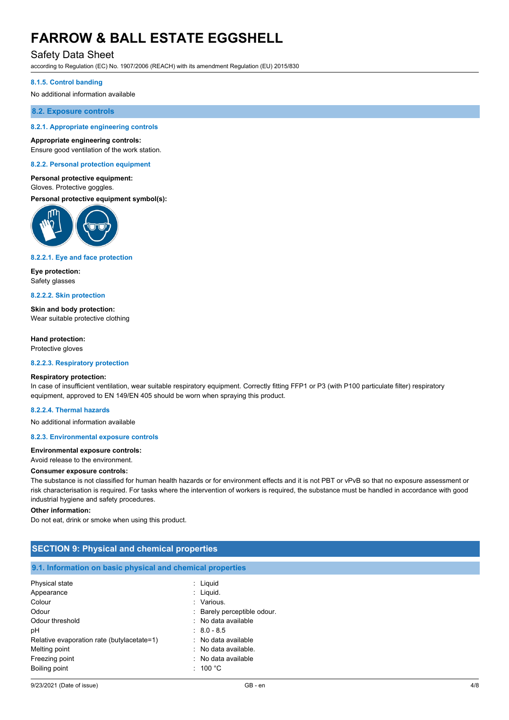## Safety Data Sheet

according to Regulation (EC) No. 1907/2006 (REACH) with its amendment Regulation (EU) 2015/830

#### **8.1.5. Control banding**

No additional information available

#### **8.2. Exposure controls**

#### **8.2.1. Appropriate engineering controls**

#### **Appropriate engineering controls:**

Ensure good ventilation of the work station.

#### **8.2.2. Personal protection equipment**

#### **Personal protective equipment:** Gloves. Protective goggles.

**Personal protective equipment symbol(s):**



#### **8.2.2.1. Eye and face protection**

**Eye protection:** Safety glasses

#### **8.2.2.2. Skin protection**

**Skin and body protection:** Wear suitable protective clothing

#### **Hand protection:**

Protective gloves

#### **8.2.2.3. Respiratory protection**

#### **Respiratory protection:**

In case of insufficient ventilation, wear suitable respiratory equipment. Correctly fitting FFP1 or P3 (with P100 particulate filter) respiratory equipment, approved to EN 149/EN 405 should be worn when spraying this product.

#### **8.2.2.4. Thermal hazards**

No additional information available

#### **8.2.3. Environmental exposure controls**

#### **Environmental exposure controls:**

Avoid release to the environment.

#### **Consumer exposure controls:**

The substance is not classified for human health hazards or for environment effects and it is not PBT or vPvB so that no exposure assessment or risk characterisation is required. For tasks where the intervention of workers is required, the substance must be handled in accordance with good industrial hygiene and safety procedures.

#### **Other information:**

Do not eat, drink or smoke when using this product.

| <b>SECTION 9: Physical and chemical properties</b> |  |  |  |  |
|----------------------------------------------------|--|--|--|--|
|                                                    |  |  |  |  |

### **9.1. Information on basic physical and chemical properties**

| Physical state                             | : Liquid                    |
|--------------------------------------------|-----------------------------|
| Appearance                                 | $:$ Liquid.                 |
| Colour                                     | : Various.                  |
| Odour                                      | : Barely perceptible odour. |
| Odour threshold                            | : No data available         |
| рH                                         | $: 8.0 - 8.5$               |
| Relative evaporation rate (butylacetate=1) | : No data available         |
| Melting point                              | : No data available.        |
| Freezing point                             | : No data available         |
| Boiling point                              | : 100 °C                    |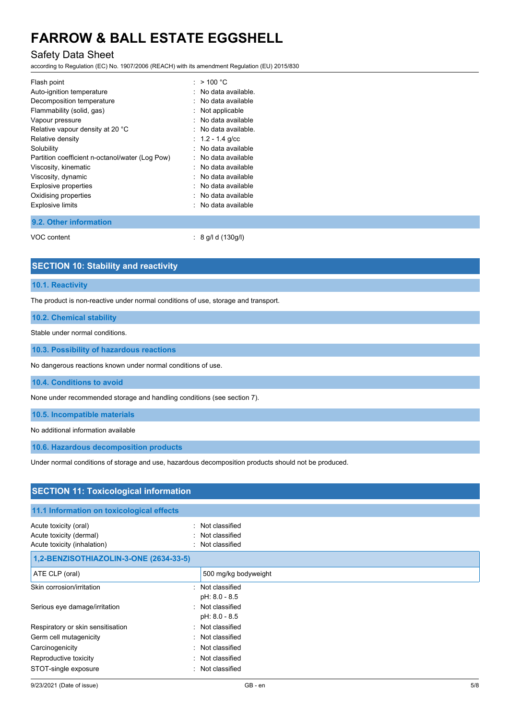## Safety Data Sheet

according to Regulation (EC) No. 1907/2006 (REACH) with its amendment Regulation (EU) 2015/830

| Flash point                                     | : $>$ 100 °C       |
|-------------------------------------------------|--------------------|
| Auto-ignition temperature                       | No data available. |
| Decomposition temperature                       | No data available  |
| Flammability (solid, gas)                       | Not applicable     |
| Vapour pressure                                 | No data available  |
| Relative vapour density at 20 °C                | No data available. |
| Relative density                                | $: 1.2 - 1.4$ g/cc |
| Solubility                                      | No data available  |
| Partition coefficient n-octanol/water (Log Pow) | No data available  |
| Viscosity, kinematic                            | No data available  |
| Viscosity, dynamic                              | No data available  |
| <b>Explosive properties</b>                     | No data available  |
| Oxidising properties                            | No data available  |
| <b>Explosive limits</b>                         | No data available  |
|                                                 |                    |

**9.2. Other information**

VOC content : 8 g/l d (130g/l)

### **SECTION 10: Stability and reactivity**

#### **10.1. Reactivity**

The product is non-reactive under normal conditions of use, storage and transport.

#### **10.2. Chemical stability**

Stable under normal conditions.

#### **10.3. Possibility of hazardous reactions**

No dangerous reactions known under normal conditions of use.

**10.4. Conditions to avoid**

None under recommended storage and handling conditions (see section 7).

**10.5. Incompatible materials**

No additional information available

**10.6. Hazardous decomposition products**

Under normal conditions of storage and use, hazardous decomposition products should not be produced.

| <b>SECTION 11: Toxicological information</b>                                          |                                                      |  |
|---------------------------------------------------------------------------------------|------------------------------------------------------|--|
| 11.1 Information on toxicological effects                                             |                                                      |  |
| Acute toxicity (oral)<br>۰,<br>Acute toxicity (dermal)<br>Acute toxicity (inhalation) | Not classified<br>Not classified<br>: Not classified |  |
| 1,2-BENZISOTHIAZOLIN-3-ONE (2634-33-5)                                                |                                                      |  |
| ATE CLP (oral)                                                                        | 500 mg/kg bodyweight                                 |  |
| Skin corrosion/irritation                                                             | : Not classified<br>pH: 8.0 - 8.5                    |  |
| Serious eye damage/irritation                                                         | : Not classified<br>pH: 8.0 - 8.5                    |  |
| Respiratory or skin sensitisation                                                     | : Not classified                                     |  |
| Germ cell mutagenicity                                                                | : Not classified                                     |  |
| Carcinogenicity                                                                       | : Not classified                                     |  |
| Reproductive toxicity                                                                 | : Not classified                                     |  |
| STOT-single exposure                                                                  | : Not classified                                     |  |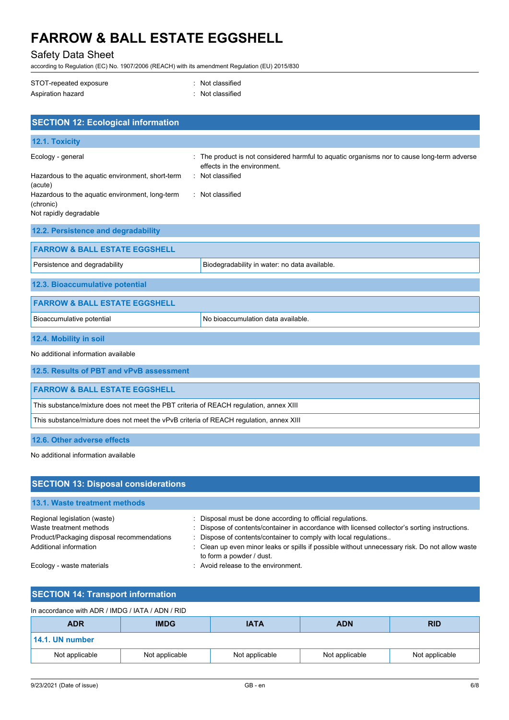## Safety Data Sheet

according to Regulation (EC) No. 1907/2006 (REACH) with its amendment Regulation (EU) 2015/830

| STOT-repeated exposure | : Not classified |
|------------------------|------------------|
| Aspiration hazard      | : Not classified |

| <b>SECTION 12: Ecological information</b>                                                                                                                                  |                                                                                                                                                                |  |  |
|----------------------------------------------------------------------------------------------------------------------------------------------------------------------------|----------------------------------------------------------------------------------------------------------------------------------------------------------------|--|--|
| 12.1. Toxicity                                                                                                                                                             |                                                                                                                                                                |  |  |
| Ecology - general<br>Hazardous to the aquatic environment, short-term<br>(acute)<br>Hazardous to the aquatic environment, long-term<br>(chronic)<br>Not rapidly degradable | The product is not considered harmful to aquatic organisms nor to cause long-term adverse<br>effects in the environment.<br>Not classified<br>: Not classified |  |  |
| 12.2. Persistence and degradability                                                                                                                                        |                                                                                                                                                                |  |  |
| <b>FARROW &amp; BALL ESTATE EGGSHELL</b>                                                                                                                                   |                                                                                                                                                                |  |  |
| Persistence and degradability                                                                                                                                              | Biodegradability in water: no data available.                                                                                                                  |  |  |
| 12.3. Bioaccumulative potential                                                                                                                                            |                                                                                                                                                                |  |  |
| <b>FARROW &amp; BALL ESTATE EGGSHELL</b>                                                                                                                                   |                                                                                                                                                                |  |  |
| Bioaccumulative potential                                                                                                                                                  | No bioaccumulation data available.                                                                                                                             |  |  |
| 12.4. Mobility in soil                                                                                                                                                     |                                                                                                                                                                |  |  |
| No additional information available                                                                                                                                        |                                                                                                                                                                |  |  |
| 12.5. Results of PBT and vPvB assessment                                                                                                                                   |                                                                                                                                                                |  |  |
| <b>FARROW &amp; BALL ESTATE EGGSHELL</b>                                                                                                                                   |                                                                                                                                                                |  |  |
| This substance/mixture does not meet the PBT criteria of REACH regulation, annex XIII                                                                                      |                                                                                                                                                                |  |  |
| This substance/mixture does not meet the vPvB criteria of REACH regulation, annex XIII                                                                                     |                                                                                                                                                                |  |  |
| 12.6. Other adverse effects                                                                                                                                                |                                                                                                                                                                |  |  |

No additional information available

| <b>SECTION 13: Disposal considerations</b> |                                                                                                                            |
|--------------------------------------------|----------------------------------------------------------------------------------------------------------------------------|
| 13.1. Waste treatment methods              |                                                                                                                            |
| Regional legislation (waste)               | : Disposal must be done according to official regulations.                                                                 |
| Waste treatment methods                    | : Dispose of contents/container in accordance with licensed collector's sorting instructions.                              |
| Product/Packaging disposal recommendations | Dispose of contents/container to comply with local regulations                                                             |
| Additional information                     | : Clean up even minor leaks or spills if possible without unnecessary risk. Do not allow waste<br>to form a powder / dust. |
| Ecology - waste materials                  | : Avoid release to the environment.                                                                                        |

## **SECTION 14: Transport information**

| In accordance with ADR / IMDG / IATA / ADN / RID |                |                |                |                |
|--------------------------------------------------|----------------|----------------|----------------|----------------|
| <b>ADR</b>                                       | <b>IMDG</b>    | <b>IATA</b>    | <b>ADN</b>     | <b>RID</b>     |
| 14.1. UN number                                  |                |                |                |                |
| Not applicable                                   | Not applicable | Not applicable | Not applicable | Not applicable |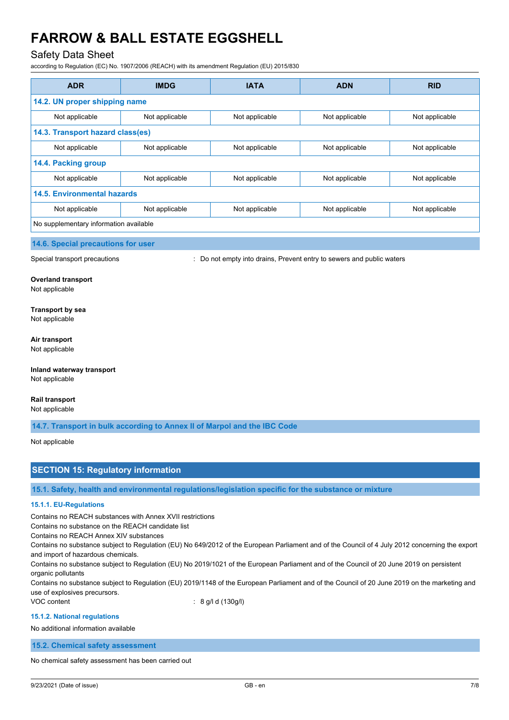## Safety Data Sheet

according to Regulation (EC) No. 1907/2006 (REACH) with its amendment Regulation (EU) 2015/830

| <b>ADR</b>                             | <b>IMDG</b>    | <b>IATA</b>    | <b>ADN</b>     | <b>RID</b>     |  |
|----------------------------------------|----------------|----------------|----------------|----------------|--|
| 14.2. UN proper shipping name          |                |                |                |                |  |
| Not applicable                         | Not applicable | Not applicable | Not applicable | Not applicable |  |
| 14.3. Transport hazard class(es)       |                |                |                |                |  |
| Not applicable                         | Not applicable | Not applicable | Not applicable | Not applicable |  |
| 14.4. Packing group                    |                |                |                |                |  |
| Not applicable                         | Not applicable | Not applicable | Not applicable | Not applicable |  |
| <b>14.5. Environmental hazards</b>     |                |                |                |                |  |
| Not applicable                         | Not applicable | Not applicable | Not applicable | Not applicable |  |
| No supplementary information available |                |                |                |                |  |

**14.6. Special precautions for user**

Special transport precautions : Do not empty into drains, Prevent entry to sewers and public waters

#### **Overland transport**

Not applicable

#### **Transport by sea**

Not applicable

#### **Air transport**

Not applicable

#### **Inland waterway transport** Not applicable

#### **Rail transport**

Not applicable

**14.7. Transport in bulk according to Annex II of Marpol and the IBC Code**

Not applicable

## **SECTION 15: Regulatory information**

**15.1. Safety, health and environmental regulations/legislation specific for the substance or mixture**

#### **15.1.1. EU-Regulations**

Contains no REACH substances with Annex XVII restrictions

Contains no substance on the REACH candidate list

Contains no REACH Annex XIV substances

Contains no substance subject to Regulation (EU) No 649/2012 of the European Parliament and of the Council of 4 July 2012 concerning the export and import of hazardous chemicals.

Contains no substance subject to Regulation (EU) No 2019/1021 of the European Parliament and of the Council of 20 June 2019 on persistent organic pollutants

Contains no substance subject to Regulation (EU) 2019/1148 of the European Parliament and of the Council of 20 June 2019 on the marketing and use of explosives precursors.

VOC content : 8 g/l d (130g/l)

#### **15.1.2. National regulations**

No additional information available

**15.2. Chemical safety assessment**

No chemical safety assessment has been carried out